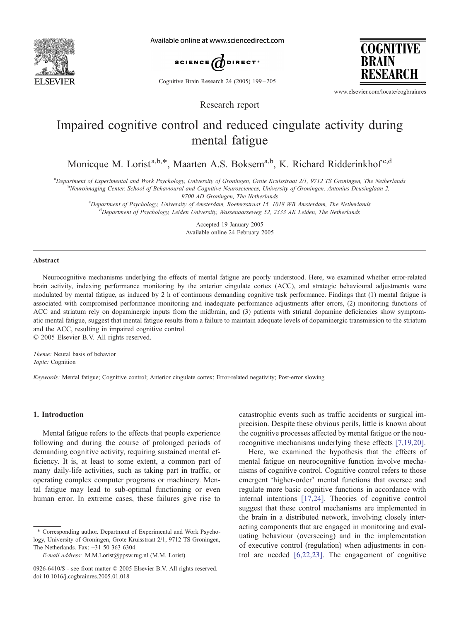

Available online at www.sciencedirect.com



Cognitive Brain Research 24 (2005) 199 – 205

**COGNITIVE BRAIN** 

www.elsevier.com/locate/cogbrainres

# Impaired cognitive control and reduced cingulate activity during mental fatigue

Research report

Monicque M. Lorist<sup>a,b,\*</sup>, Maarten A.S. Boksem<sup>a,b</sup>, K. Richard Ridderinkhof<sup>c,d</sup>

a<br>Department of Experimental and Work Psychology, University of Groningen, Grote Kruisstraat 2/1, 9712 TS Groningen, The Netherlands

<sup>b</sup>Neuroimaging Center, School of Behavioural and Cognitive Neurosciences, University of Groningen, Antonius Deusinglaan 2,

9700 AD Groningen, The Netherlands<br><sup>9</sup>Department of Psychology, University of Amsterdam, Poetersstraat 15, 10

Department of Psychology, University of Amsterdam, Roetersstraat 15, 1018 WB Amsterdam, The Netherlands d<br>dDepartment of Psychology, Leiden University, Wassenaarsewag 52, 2333, AK Leiden, The Netherlands <sup>d</sup>Department of Psychology, Leiden University, Wassenaarseweg 52, 2333 AK Leiden, The Netherlands

> Accepted 19 January 2005 Available online 24 February 2005

#### Abstract

Neurocognitive mechanisms underlying the effects of mental fatigue are poorly understood. Here, we examined whether error-related brain activity, indexing performance monitoring by the anterior cingulate cortex (ACC), and strategic behavioural adjustments were modulated by mental fatigue, as induced by 2 h of continuous demanding cognitive task performance. Findings that (1) mental fatigue is associated with compromised performance monitoring and inadequate performance adjustments after errors, (2) monitoring functions of ACC and striatum rely on dopaminergic inputs from the midbrain, and (3) patients with striatal dopamine deficiencies show symptomatic mental fatigue, suggest that mental fatigue results from a failure to maintain adequate levels of dopaminergic transmission to the striatum and the ACC, resulting in impaired cognitive control.

 $© 2005 Elsevier B.V. All rights reserved.$ 

Theme: Neural basis of behavior Topic: Cognition

Keywords: Mental fatigue; Cognitive control; Anterior cingulate cortex; Error-related negativity; Post-error slowing

## 1. Introduction

Mental fatigue refers to the effects that people experience following and during the course of prolonged periods of demanding cognitive activity, requiring sustained mental efficiency. It is, at least to some extent, a common part of many daily-life activities, such as taking part in traffic, or operating complex computer programs or machinery. Mental fatigue may lead to sub-optimal functioning or even human error. In extreme cases, these failures give rise to

catastrophic events such as traffic accidents or surgical imprecision. Despite these obvious perils, little is known about the cognitive processes affected by mental fatigue or the neurocognitive mechanisms underlying these effects [\[7,19,20\].](#page-6-0)

Here, we examined the hypothesis that the effects of mental fatigue on neurocognitive function involve mechanisms of cognitive control. Cognitive control refers to those emergent 'higher-order' mental functions that oversee and regulate more basic cognitive functions in accordance with internal intentions [\[17,24\].](#page-6-0) Theories of cognitive control suggest that these control mechanisms are implemented in the brain in a distributed network, involving closely interacting components that are engaged in monitoring and evaluating behaviour (overseeing) and in the implementation of executive control (regulation) when adjustments in control are needed [\[6,22,23\].](#page-6-0) The engagement of cognitive

<sup>\*</sup> Corresponding author. Department of Experimental and Work Psychology, University of Groningen, Grote Kruisstraat 2/1, 9712 TS Groningen, The Netherlands. Fax: +31 50 363 6304.

E-mail address: M.M.Lorist@ppsw.rug.nl (M.M. Lorist).

<sup>0926-6410/\$ -</sup> see front matter © 2005 Elsevier B.V. All rights reserved. doi:10.1016/j.cogbrainres.2005.01.018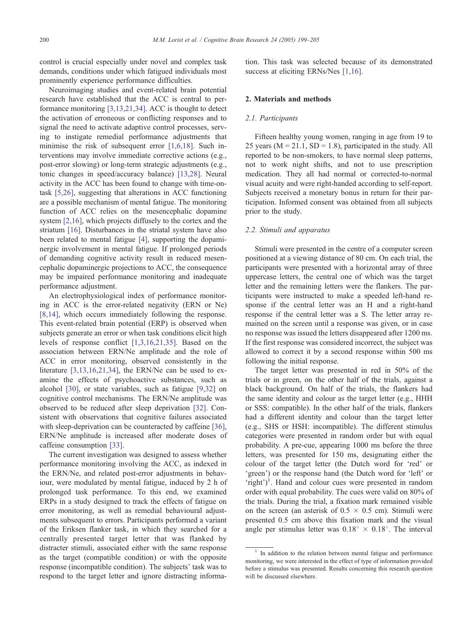control is crucial especially under novel and complex task demands, conditions under which fatigued individuals most prominently experience performance difficulties.

Neuroimaging studies and event-related brain potential research have established that the ACC is central to performance monitoring [\[3,13,21,34\].](#page-5-0) ACC is thought to detect the activation of erroneous or conflicting responses and to signal the need to activate adaptive control processes, serving to instigate remedial performance adjustments that minimise the risk of subsequent error [\[1,6,18\].](#page-5-0) Such interventions may involve immediate corrective actions (e.g., post-error slowing) or long-term strategic adjustments (e.g., tonic changes in speed/accuracy balance) [\[13,28\].](#page-6-0) Neural activity in the ACC has been found to change with time-ontask [\[5,26\],](#page-5-0) suggesting that alterations in ACC functioning are a possible mechanism of mental fatigue. The monitoring function of ACC relies on the mesencephalic dopamine system [\[2,16\],](#page-5-0) which projects diffusely to the cortex and the striatum [\[16\].](#page-6-0) Disturbances in the striatal system have also been related to mental fatigue [\[4\],](#page-5-0) supporting the dopaminergic involvement in mental fatigue. If prolonged periods of demanding cognitive activity result in reduced mesencephalic dopaminergic projections to ACC, the consequence may be impaired performance monitoring and inadequate performance adjustment.

An electrophysiological index of performance monitoring in ACC is the error-related negativity (ERN or Ne) [\[8,14\],](#page-6-0) which occurs immediately following the response. This event-related brain potential (ERP) is observed when subjects generate an error or when task conditions elicit high levels of response conflict [\[1,3,16,21,35\].](#page-5-0) Based on the association between ERN/Ne amplitude and the role of ACC in error monitoring, observed consistently in the literature [\[3,13,16,21,34\],](#page-5-0) the ERN/Ne can be used to examine the effects of psychoactive substances, such as alcohol [\[30\],](#page-6-0) or state variables, such as fatigue [\[9,32\]](#page-6-0) on cognitive control mechanisms. The ERN/Ne amplitude was observed to be reduced after sleep deprivation [\[32\].](#page-6-0) Consistent with observations that cognitive failures associated with sleep-deprivation can be counteracted by caffeine [\[36\],](#page-6-0) ERN/Ne amplitude is increased after moderate doses of caffeine consumption [\[33\].](#page-6-0)

The current investigation was designed to assess whether performance monitoring involving the ACC, as indexed in the ERN/Ne, and related post-error adjustments in behaviour, were modulated by mental fatigue, induced by 2 h of prolonged task performance. To this end, we examined ERPs in a study designed to track the effects of fatigue on error monitoring, as well as remedial behavioural adjustments subsequent to errors. Participants performed a variant of the Eriksen flanker task, in which they searched for a centrally presented target letter that was flanked by distracter stimuli, associated either with the same response as the target (compatible condition) or with the opposite response (incompatible condition). The subjects' task was to respond to the target letter and ignore distracting information. This task was selected because of its demonstrated success at eliciting ERNs/Nes [\[1,16\].](#page-5-0)

#### 2. Materials and methods

## 2.1. Participants

Fifteen healthy young women, ranging in age from 19 to 25 years ( $M = 21.1$ ,  $SD = 1.8$ ), participated in the study. All reported to be non-smokers, to have normal sleep patterns, not to work night shifts, and not to use prescription medication. They all had normal or corrected-to-normal visual acuity and were right-handed according to self-report. Subjects received a monetary bonus in return for their participation. Informed consent was obtained from all subjects prior to the study.

## 2.2. Stimuli and apparatus

Stimuli were presented in the centre of a computer screen positioned at a viewing distance of 80 cm. On each trial, the participants were presented with a horizontal array of three uppercase letters, the central one of which was the target letter and the remaining letters were the flankers. The participants were instructed to make a speeded left-hand response if the central letter was an H and a right-hand response if the central letter was a S. The letter array remained on the screen until a response was given, or in case no response was issued the letters disappeared after 1200 ms. If the first response was considered incorrect, the subject was allowed to correct it by a second response within 500 ms following the initial response.

The target letter was presented in red in 50% of the trials or in green, on the other half of the trials, against a black background. On half of the trials, the flankers had the same identity and colour as the target letter (e.g., HHH or SSS: compatible). In the other half of the trials, flankers had a different identity and colour than the target letter (e.g., SHS or HSH: incompatible). The different stimulus categories were presented in random order but with equal probability. A pre-cue, appearing 1000 ms before the three letters, was presented for 150 ms, designating either the colour of the target letter (the Dutch word for 'red' or 'green') or the response hand (the Dutch word for 'left' or 'right')<sup>1</sup>. Hand and colour cues were presented in random order with equal probability. The cues were valid on 80% of the trials. During the trial, a fixation mark remained visible on the screen (an asterisk of  $0.5 \times 0.5$  cm). Stimuli were presented 0.5 cm above this fixation mark and the visual angle per stimulus letter was  $0.18^{\circ} \times 0.18^{\circ}$ . The interval

In addition to the relation between mental fatigue and performance monitoring, we were interested in the effect of type of information provided before a stimulus was presented. Results concerning this research question will be discussed elsewhere.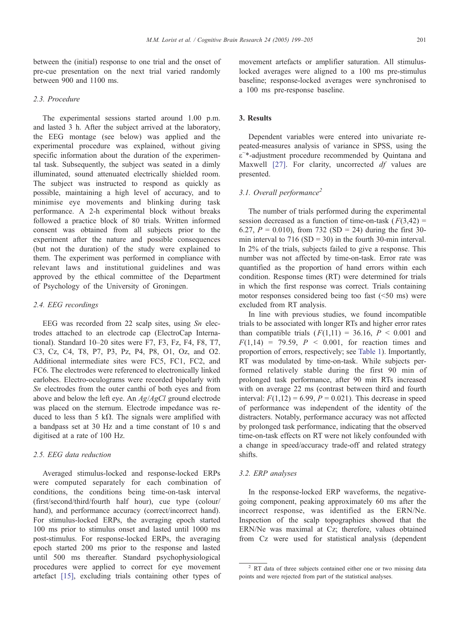#### 2.3. Procedure

The experimental sessions started around 1.00 p.m. and lasted 3 h. After the subject arrived at the laboratory, the EEG montage (see below) was applied and the experimental procedure was explained, without giving specific information about the duration of the experimental task. Subsequently, the subject was seated in a dimly illuminated, sound attenuated electrically shielded room. The subject was instructed to respond as quickly as possible, maintaining a high level of accuracy, and to minimise eye movements and blinking during task performance. A 2-h experimental block without breaks followed a practice block of 80 trials. Written informed consent was obtained from all subjects prior to the experiment after the nature and possible consequences (but not the duration) of the study were explained to them. The experiment was performed in compliance with relevant laws and institutional guidelines and was approved by the ethical committee of the Department of Psychology of the University of Groningen.

## 2.4. EEG recordings

EEG was recorded from 22 scalp sites, using  $Sn$  electrodes attached to an electrode cap (ElectroCap International). Standard 10–20 sites were F7, F3, Fz, F4, F8, T7, C3, Cz, C4, T8, P7, P3, Pz, P4, P8, O1, Oz, and O2. Additional intermediate sites were FC5, FC1, FC2, and FC6. The electrodes were referenced to electronically linked earlobes. Electro-oculograms were recorded bipolarly with Sn electrodes from the outer canthi of both eyes and from above and below the left eye. An  $Ag/AgCl$  ground electrode was placed on the sternum. Electrode impedance was reduced to less than 5 k $\Omega$ . The signals were amplified with a bandpass set at 30 Hz and a time constant of 10 s and digitised at a rate of 100 Hz.

## 2.5. EEG data reduction

Averaged stimulus-locked and response-locked ERPs were computed separately for each combination of conditions, the conditions being time-on-task interval (first/second/third/fourth half hour), cue type (colour/ hand), and performance accuracy (correct/incorrect hand). For stimulus-locked ERPs, the averaging epoch started 100 ms prior to stimulus onset and lasted until 1000 ms post-stimulus. For response-locked ERPs, the averaging epoch started 200 ms prior to the response and lasted until 500 ms thereafter. Standard psychophysiological procedures were applied to correct for eye movement artefact [\[15\]](#page-6-0), excluding trials containing other types of movement artefacts or amplifier saturation. All stimuluslocked averages were aligned to a 100 ms pre-stimulus baseline; response-locked averages were synchronised to a 100 ms pre-response baseline.

## 3. Results

Dependent variables were entered into univariate repeated-measures analysis of variance in SPSS, using the  $\epsilon$ <sup>-\*</sup>-adjustment procedure recommended by Quintana and Maxwell [\[27\].](#page-6-0) For clarity, uncorrected df values are presented.

## 3.1. Overall performance<sup>2</sup>

The number of trials performed during the experimental session decreased as a function of time-on-task  $(F(3,42) =$ 6.27,  $P = 0.010$ ), from 732 (SD = 24) during the first 30min interval to  $716$  (SD = 30) in the fourth 30-min interval. In 2% of the trials, subjects failed to give a response. This number was not affected by time-on-task. Error rate was quantified as the proportion of hand errors within each condition. Response times (RT) were determined for trials in which the first response was correct. Trials containing motor responses considered being too fast  $(<50$  ms) were excluded from RT analysis.

In line with previous studies, we found incompatible trials to be associated with longer RTs and higher error rates than compatible trials  $(F(1,11) = 36.16, P < 0.001$  and  $F(1,14) = 79.59$ ,  $P < 0.001$ , for reaction times and proportion of errors, respectively; see [Table 1\)](#page-3-0). Importantly, RT was modulated by time-on-task. While subjects performed relatively stable during the first 90 min of prolonged task performance, after 90 min RTs increased with on average 22 ms (contrast between third and fourth interval:  $F(1,12) = 6.99$ ,  $P = 0.021$ ). This decrease in speed of performance was independent of the identity of the distracters. Notably, performance accuracy was not affected by prolonged task performance, indicating that the observed time-on-task effects on RT were not likely confounded with a change in speed/accuracy trade-off and related strategy shifts.

## 3.2. ERP analyses

In the response-locked ERP waveforms, the negativegoing component, peaking approximately 60 ms after the incorrect response, was identified as the ERN/Ne. Inspection of the scalp topographies showed that the ERN/Ne was maximal at Cz; therefore, values obtained from Cz were used for statistical analysis (dependent

<sup>&</sup>lt;sup>2</sup> RT data of three subjects contained either one or two missing data points and were rejected from part of the statistical analyses.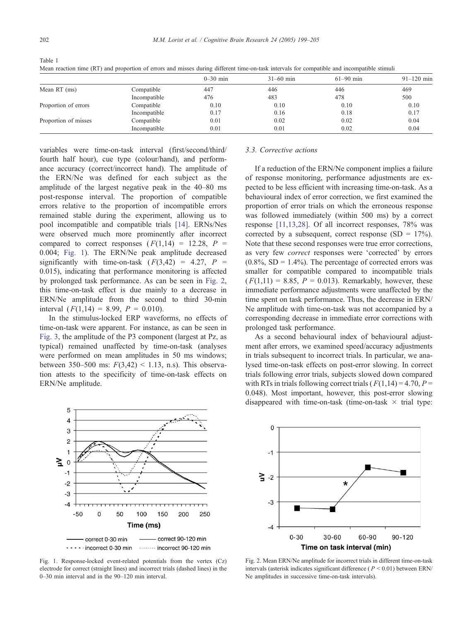|                      |              | $0-30$ min | $31 - 60$ min | $61 - 90$ min | $91 - 120$ min |
|----------------------|--------------|------------|---------------|---------------|----------------|
| Mean $RT$ (ms)       | Compatible   | 447        | 446           | 446           | 469            |
|                      | Incompatible | 476        | 483           | 478           | 500            |
| Proportion of errors | Compatible   | 0.10       | 0.10          | 0.10          | 0.10           |
|                      | Incompatible | 0.17       | 0.16          | 0.18          | 0.17           |
| Proportion of misses | Compatible   | 0.01       | 0.02          | 0.02          | 0.04           |
|                      | Incompatible | 0.01       | 0.01          | 0.02          | 0.04           |

<span id="page-3-0"></span>Table 1

Mean reaction time (RT) and proportion of errors and misses during different time-on-task intervals for compatible and incompatible stimuli

variables were time-on-task interval (first/second/third/ fourth half hour), cue type (colour/hand), and performance accuracy (correct/incorrect hand). The amplitude of the ERN/Ne was defined for each subject as the amplitude of the largest negative peak in the 40–80 ms post-response interval. The proportion of compatible errors relative to the proportion of incompatible errors remained stable during the experiment, allowing us to pool incompatible and compatible trials [\[14\].](#page-6-0) ERNs/Nes were observed much more prominently after incorrect compared to correct responses  $(F(1,14) = 12.28, P =$ 0.004; Fig. 1). The ERN/Ne peak amplitude decreased significantly with time-on-task  $(F(3,42) = 4.27, P =$ 0.015), indicating that performance monitoring is affected by prolonged task performance. As can be seen in Fig. 2, this time-on-task effect is due mainly to a decrease in ERN/Ne amplitude from the second to third 30-min interval  $(F(1,14) = 8.99, P = 0.010)$ .

In the stimulus-locked ERP waveforms, no effects of time-on-task were apparent. For instance, as can be seen in [Fig. 3,](#page-4-0) the amplitude of the P3 component (largest at Pz, as typical) remained unaffected by time-on-task (analyses were performed on mean amplitudes in 50 ms windows; between 350–500 ms:  $F(3,42)$  < 1.13, n.s). This observation attests to the specificity of time-on-task effects on ERN/Ne amplitude.



Fig. 1. Response-locked event-related potentials from the vertex (Cz) electrode for correct (straight lines) and incorrect trials (dashed lines) in the 0–30 min interval and in the 90–120 min interval.

## 3.3. Corrective actions

If a reduction of the ERN/Ne component implies a failure of response monitoring, performance adjustments are expected to be less efficient with increasing time-on-task. As a behavioural index of error correction, we first examined the proportion of error trials on which the erroneous response was followed immediately (within 500 ms) by a correct response [\[11,13,28\].](#page-6-0) Of all incorrect responses, 78% was corrected by a subsequent, correct response  $(SD = 17\%)$ . Note that these second responses were true error corrections, as very few *correct* responses were 'corrected' by errors  $(0.8\%, SD = 1.4\%)$ . The percentage of corrected errors was smaller for compatible compared to incompatible trials  $(F(1,11) = 8.85, P = 0.013)$ . Remarkably, however, these immediate performance adjustments were unaffected by the time spent on task performance. Thus, the decrease in ERN/ Ne amplitude with time-on-task was not accompanied by a corresponding decrease in immediate error corrections with prolonged task performance.

As a second behavioural index of behavioural adjustment after errors, we examined speed/accuracy adjustments in trials subsequent to incorrect trials. In particular, we analysed time-on-task effects on post-error slowing. In correct trials following error trials, subjects slowed down compared with RTs in trials following correct trials ( $F(1,14) = 4.70$ ,  $P =$ 0.048). Most important, however, this post-error slowing disappeared with time-on-task (time-on-task  $\times$  trial type:



Fig. 2. Mean ERN/Ne amplitude for incorrect trials in different time-on-task intervals (asterisk indicates significant difference ( $P \le 0.01$ ) between ERN/ Ne amplitudes in successive time-on-task intervals).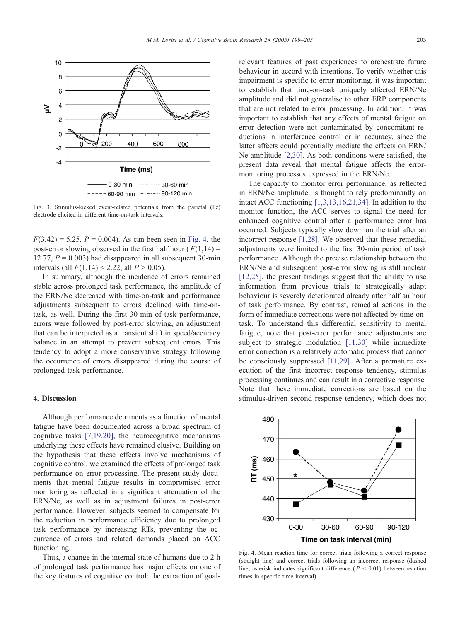<span id="page-4-0"></span>

Fig. 3. Stimulus-locked event-related potentials from the parietal (Pz) electrode elicited in different time-on-task intervals.

 $F(3,42) = 5.25, P = 0.004$ . As can been seen in Fig. 4, the post-error slowing observed in the first half hour  $(F(1,14) =$ 12.77,  $P = 0.003$ ) had disappeared in all subsequent 30-min intervals (all  $F(1,14)$  < 2.22, all  $P > 0.05$ ).

In summary, although the incidence of errors remained stable across prolonged task performance, the amplitude of the ERN/Ne decreased with time-on-task and performance adjustments subsequent to errors declined with time-ontask, as well. During the first 30-min of task performance, errors were followed by post-error slowing, an adjustment that can be interpreted as a transient shift in speed/accuracy balance in an attempt to prevent subsequent errors. This tendency to adopt a more conservative strategy following the occurrence of errors disappeared during the course of prolonged task performance.

## 4. Discussion

Although performance detriments as a function of mental fatigue have been documented across a broad spectrum of cognitive tasks [\[7,19,20\],](#page-6-0) the neurocognitive mechanisms underlying these effects have remained elusive. Building on the hypothesis that these effects involve mechanisms of cognitive control, we examined the effects of prolonged task performance on error processing. The present study documents that mental fatigue results in compromised error monitoring as reflected in a significant attenuation of the ERN/Ne, as well as in adjustment failures in post-error performance. However, subjects seemed to compensate for the reduction in performance efficiency due to prolonged task performance by increasing RTs, preventing the occurrence of errors and related demands placed on ACC functioning.

Thus, a change in the internal state of humans due to 2 h of prolonged task performance has major effects on one of the key features of cognitive control: the extraction of goalrelevant features of past experiences to orchestrate future behaviour in accord with intentions. To verify whether this impairment is specific to error monitoring, it was important to establish that time-on-task uniquely affected ERN/Ne amplitude and did not generalise to other ERP components that are not related to error processing. In addition, it was important to establish that any effects of mental fatigue on error detection were not contaminated by concomitant reductions in interference control or in accuracy, since the latter affects could potentially mediate the effects on ERN/ Ne amplitude [\[2,30\].](#page-5-0) As both conditions were satisfied, the present data reveal that mental fatigue affects the errormonitoring processes expressed in the ERN/Ne.

The capacity to monitor error performance, as reflected in ERN/Ne amplitude, is thought to rely predominantly on intact ACC functioning [\[1,3,13,16,21,34\].](#page-5-0) In addition to the monitor function, the ACC serves to signal the need for enhanced cognitive control after a performance error has occurred. Subjects typically slow down on the trial after an incorrect response [\[1,28\].](#page-5-0) We observed that these remedial adjustments were limited to the first 30-min period of task performance. Although the precise relationship between the ERN/Ne and subsequent post-error slowing is still unclear [\[12,25\],](#page-6-0) the present findings suggest that the ability to use information from previous trials to strategically adapt behaviour is severely deteriorated already after half an hour of task performance. By contrast, remedial actions in the form of immediate corrections were not affected by time-ontask. To understand this differential sensitivity to mental fatigue, note that post-error performance adjustments are subject to strategic modulation [\[11,30\]](#page-6-0) while immediate error correction is a relatively automatic process that cannot be consciously suppressed [\[11,29\].](#page-6-0) After a premature execution of the first incorrect response tendency, stimulus processing continues and can result in a corrective response. Note that these immediate corrections are based on the stimulus-driven second response tendency, which does not



Fig. 4. Mean reaction time for correct trials following a correct response (straight line) and correct trials following an incorrect response (dashed line; asterisk indicates significant difference ( $P \le 0.01$ ) between reaction times in specific time interval).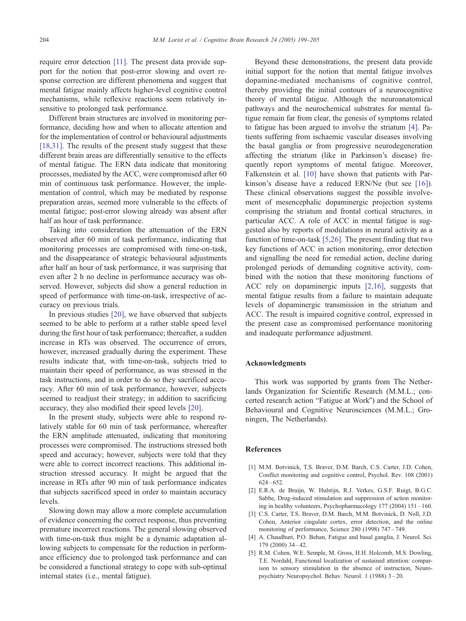<span id="page-5-0"></span>require error detection [\[11\].](#page-6-0) The present data provide support for the notion that post-error slowing and overt response correction are different phenomena and suggest that mental fatigue mainly affects higher-level cognitive control mechanisms, while reflexive reactions seem relatively insensitive to prolonged task performance.

Different brain structures are involved in monitoring performance, deciding how and when to allocate attention and for the implementation of control or behavioural adjustments [\[18,31\].](#page-6-0) The results of the present study suggest that these different brain areas are differentially sensitive to the effects of mental fatigue. The ERN data indicate that monitoring processes, mediated by the ACC, were compromised after 60 min of continuous task performance. However, the implementation of control, which may be mediated by response preparation areas, seemed more vulnerable to the effects of mental fatigue; post-error slowing already was absent after half an hour of task performance.

Taking into consideration the attenuation of the ERN observed after 60 min of task performance, indicating that monitoring processes are compromised with time-on-task, and the disappearance of strategic behavioural adjustments after half an hour of task performance, it was surprising that even after 2 h no decline in performance accuracy was observed. However, subjects did show a general reduction in speed of performance with time-on-task, irrespective of accuracy on previous trials.

In previous studies [\[20\],](#page-6-0) we have observed that subjects seemed to be able to perform at a rather stable speed level during the first hour of task performance; thereafter, a sudden increase in RTs was observed. The occurrence of errors, however, increased gradually during the experiment. These results indicate that, with time-on-task, subjects tried to maintain their speed of performance, as was stressed in the task instructions, and in order to do so they sacrificed accuracy. After 60 min of task performance, however, subjects seemed to readjust their strategy; in addition to sacrificing accuracy, they also modified their speed levels [\[20\].](#page-6-0)

In the present study, subjects were able to respond relatively stable for 60 min of task performance, whereafter the ERN amplitude attenuated, indicating that monitoring processes were compromised. The instructions stressed both speed and accuracy; however, subjects were told that they were able to correct incorrect reactions. This additional instruction stressed accuracy. It might be argued that the increase in RTs after 90 min of task performance indicates that subjects sacrificed speed in order to maintain accuracy levels.

Slowing down may allow a more complete accumulation of evidence concerning the correct response, thus preventing premature incorrect reactions. The general slowing observed with time-on-task thus might be a dynamic adaptation allowing subjects to compensate for the reduction in performance efficiency due to prolonged task performance and can be considered a functional strategy to cope with sub-optimal internal states (i.e., mental fatigue).

Beyond these demonstrations, the present data provide initial support for the notion that mental fatigue involves dopamine-mediated mechanisms of cognitive control, thereby providing the initial contours of a neurocognitive theory of mental fatigue. Although the neuroanatomical pathways and the neurochemical substrates for mental fatigue remain far from clear, the genesis of symptoms related to fatigue has been argued to involve the striatum [4]. Patients suffering from ischaemic vascular diseases involving the basal ganglia or from progressive neurodegeneration affecting the striatum (like in Parkinson's disease) frequently report symptoms of mental fatigue. Moreover, Falkenstein et al. [\[10\]](#page-6-0) have shown that patients with Parkinson's disease have a reduced ERN/Ne (but see [\[16\]\)](#page-6-0). These clinical observations suggest the possible involvement of mesencephalic dopaminergic projection systems comprising the striatum and frontal cortical structures, in particular ACC. A role of ACC in mental fatigue is suggested also by reports of modulations in neural activity as a function of time-on-task [5,26]. The present finding that two key functions of ACC in action monitoring, error detection and signalling the need for remedial action, decline during prolonged periods of demanding cognitive activity, combined with the notion that these monitoring functions of ACC rely on dopaminergic inputs [2,16], suggests that mental fatigue results from a failure to maintain adequate levels of dopaminergic transmission in the striatum and ACC. The result is impaired cognitive control, expressed in the present case as compromised performance monitoring and inadequate performance adjustment.

## Acknowledgments

This work was supported by grants from The Netherlands Organization for Scientific Research (M.M.L.; concerted research action "Fatigue at Work") and the School of Behavioural and Cognitive Neurosciences (M.M.L.; Groningen, The Netherlands).

#### References

- [1] M.M. Botvinick, T.S. Braver, D.M. Barch, C.S. Carter, J.D. Cohen, Conflict monitoring and cognitive control, Psychol. Rev. 108 (2001)  $624 - 652$
- [2] E.R.A. de Bruijn, W. Hulstijn, R.J. Verkes, G.S.F. Ruigt, B.G.C. Sabbe, Drug-induced stimulation and suppression of action monitoring in healthy volunteers, Psychopharmacology 177 (2004) 151 – 160.
- [3] C.S. Carter, T.S. Braver, D.M. Barch, M.M. Botvinick, D. Noll, J.D. Cohen, Anterior cingulate cortex, error detection, and the online monitoring of performance, Science 280 (1998) 747-749.
- [4] A. Chaudhuri, P.O. Behan, Fatigue and basal ganglia, J. Neurol. Sci.  $179(2000)$  34 – 42
- [5] R.M. Cohen, W.E. Semple, M. Gross, H.H. Holcomb, M.S. Dowling, T.E. Nordahl, Functional localization of sustained attention: comparison to sensory stimulation in the absence of instruction, Neuropsychiatry Neuropsychol. Behav. Neurol. 1 (1988) 3 – 20.